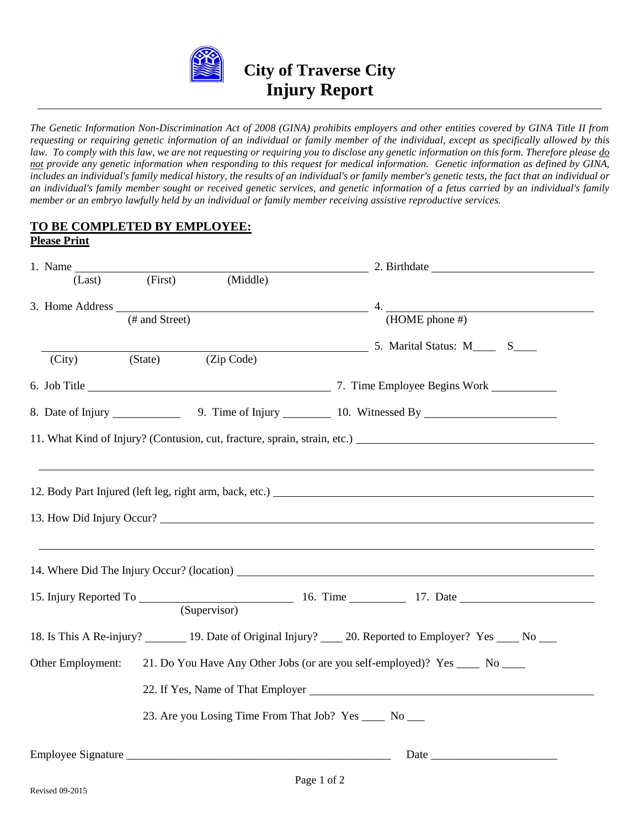

# **City of Traverse City Injury Report**

*The Genetic Information Non-Discrimination Act of 2008 (GINA) prohibits employers and other entities covered by GINA Title II from requesting or requiring genetic information of an individual or family member of the individual, except as specifically allowed by this*  law. To comply with this law, we are not requesting or requiring you to disclose any genetic information on this form. Therefore please  $\underline{do}$ *not provide any genetic information when responding to this request for medical information. Genetic information as defined by GINA, includes an individual's family medical history, the results of an individual's or family member's genetic tests, the fact that an individual or an individual's family member sought or received genetic services, and genetic information of a fetus carried by an individual's family member or an embryo lawfully held by an individual or family member receiving assistive reproductive services.*

#### **TO BE COMPLETED BY EMPLOYEE: Please Print**

| 1. Name           |                  |                                                                              |                                                                                        |  |  |  |
|-------------------|------------------|------------------------------------------------------------------------------|----------------------------------------------------------------------------------------|--|--|--|
|                   | $(Last)$ (First) | (Middle)                                                                     |                                                                                        |  |  |  |
|                   |                  |                                                                              | 3. Home Address $\frac{4}{(\text{HOME phone #})}$ 4. (HOME phone #)                    |  |  |  |
| (City)            | (State)          | (Zip Code)                                                                   | 5. Marital Status: M <sub>11</sub> S <sub>211</sub>                                    |  |  |  |
|                   |                  |                                                                              |                                                                                        |  |  |  |
|                   |                  |                                                                              | 8. Date of Injury 10. Witnessed By 10. Witnessed By                                    |  |  |  |
|                   |                  |                                                                              |                                                                                        |  |  |  |
|                   |                  |                                                                              | 13. How Did Injury Occur?                                                              |  |  |  |
|                   |                  | (Supervisor)                                                                 |                                                                                        |  |  |  |
|                   |                  |                                                                              | 18. Is This A Re-injury? 19. Date of Original Injury? 20. Reported to Employer? Yes No |  |  |  |
| Other Employment: |                  | 21. Do You Have Any Other Jobs (or are you self-employed)? Yes _____ No ____ |                                                                                        |  |  |  |
|                   |                  |                                                                              |                                                                                        |  |  |  |
|                   |                  |                                                                              | 23. Are you Losing Time From That Job? Yes ______ No ____                              |  |  |  |
|                   |                  |                                                                              |                                                                                        |  |  |  |
|                   |                  |                                                                              | $\mathbf{D}$ $\mathbf{A}$ $\mathbf{C}$                                                 |  |  |  |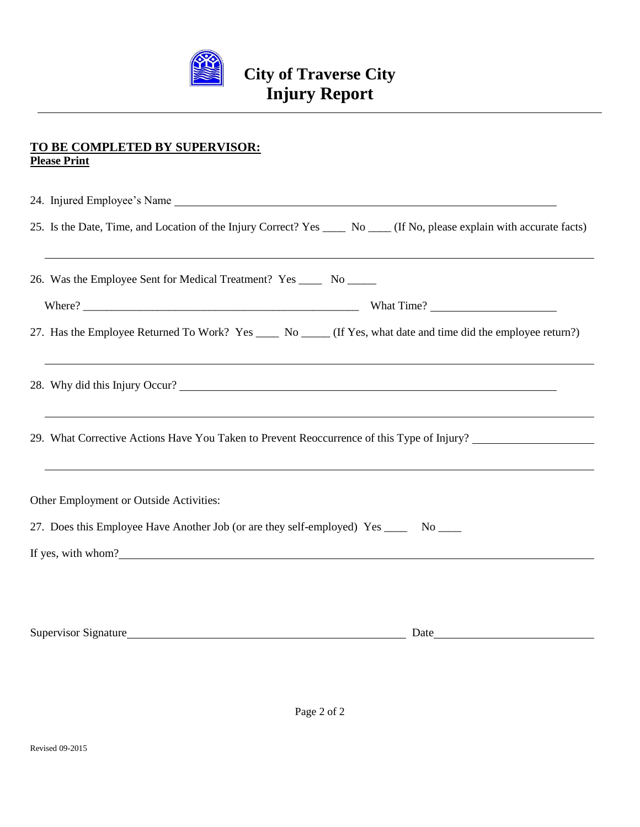

#### **TO BE COMPLETED BY SUPERVISOR: Please Print**

| 25. Is the Date, Time, and Location of the Injury Correct? Yes _____ No ____ (If No, please explain with accurate facts)<br>,我们也不会有什么?""我们的人,我们也不会有什么?""我们的人,我们也不会有什么?""我们的人,我们也不会有什么?""我们的人,我们也不会有什么?""我们的人 |  |  |  |  |
|--------------------------------------------------------------------------------------------------------------------------------------------------------------------------------------------------------------|--|--|--|--|
| 26. Was the Employee Sent for Medical Treatment? Yes ______ No ______                                                                                                                                        |  |  |  |  |
|                                                                                                                                                                                                              |  |  |  |  |
| 27. Has the Employee Returned To Work? Yes _____ No _____ (If Yes, what date and time did the employee return?)                                                                                              |  |  |  |  |
| 28. Why did this Injury Occur?                                                                                                                                                                               |  |  |  |  |
| 29. What Corrective Actions Have You Taken to Prevent Reoccurrence of this Type of Injury?                                                                                                                   |  |  |  |  |
| Other Employment or Outside Activities:                                                                                                                                                                      |  |  |  |  |
| 27. Does this Employee Have Another Job (or are they self-employed) Yes ______ No ____                                                                                                                       |  |  |  |  |
| If yes, with whom?<br><u>If</u> yes, with whom?                                                                                                                                                              |  |  |  |  |
|                                                                                                                                                                                                              |  |  |  |  |

Supervisor Signature Date